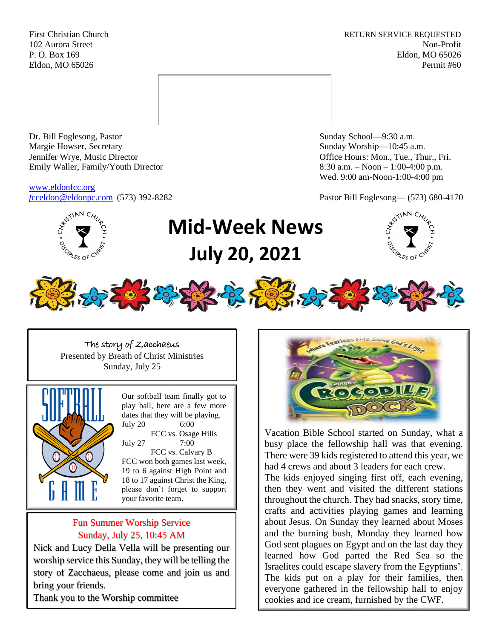First Christian Church **RETURN SERVICE REQUESTED** 102 Aurora Street Non-Profit P. O. Box 169 Eldon, MO 65026 Eldon, MO 65026 Permit #60



Dr. Bill Foglesong, Pastor Sunday School—9:30 a.m.<br>
Margie Howser, Secretary Sunday Worship—10:45 a. Jennifer Wrye, Music Director Office Hours: Mon., Tue., Thur., Fri. Emily Waller, Family/Youth Director 8:30 a.m. – Noon – 1:00-4:00 p.m.

[www.eldonfcc.org](http://www.eldonfcc.org/)

Sunday Worship—10:45 a.m. Wed. 9:00 am-Noon-1:00-4:00 pm

*f*[cceldon@eldonpc.com](mailto:fcceldon@eldonpc.com) (573) 392-8282 Pastor Bill Foglesong— (573) 680-4170



# **Mid-Week News July 20, 2021**



The story of Zacchaeus Presented by Breath of Christ Ministries Sunday, July 25



Our softball team finally got to play ball, here are a few more dates that they will be playing. July 20 6:00

FCC vs. Osage Hills July 27 7:00

FCC vs. Calvary B FCC won both games last week, 19 to 6 against High Point and 18 to 17 against Christ the King, please don't forget to support your favorite team.

## Fun Summer Worship Service Sunday, July 25, 10:45 AM

Nick and Lucy Della Vella will be presenting our worship service this Sunday, they will be telling the story of Zacchaeus, please come and join us and bring your friends.

Thank you to the Worship committee



Vacation Bible School started on Sunday, what a busy place the fellowship hall was that evening. There were 39 kids registered to attend this year, we had 4 crews and about 3 leaders for each crew.

The kids enjoyed singing first off, each evening, then they went and visited the different stations throughout the church. They had snacks, story time, crafts and activities playing games and learning about Jesus. On Sunday they learned about Moses and the burning bush, Monday they learned how God sent plagues on Egypt and on the last day they learned how God parted the Red Sea so the Israelites could escape slavery from the Egyptians'. The kids put on a play for their families, then everyone gathered in the fellowship hall to enjoy cookies and ice cream, furnished by the CWF.